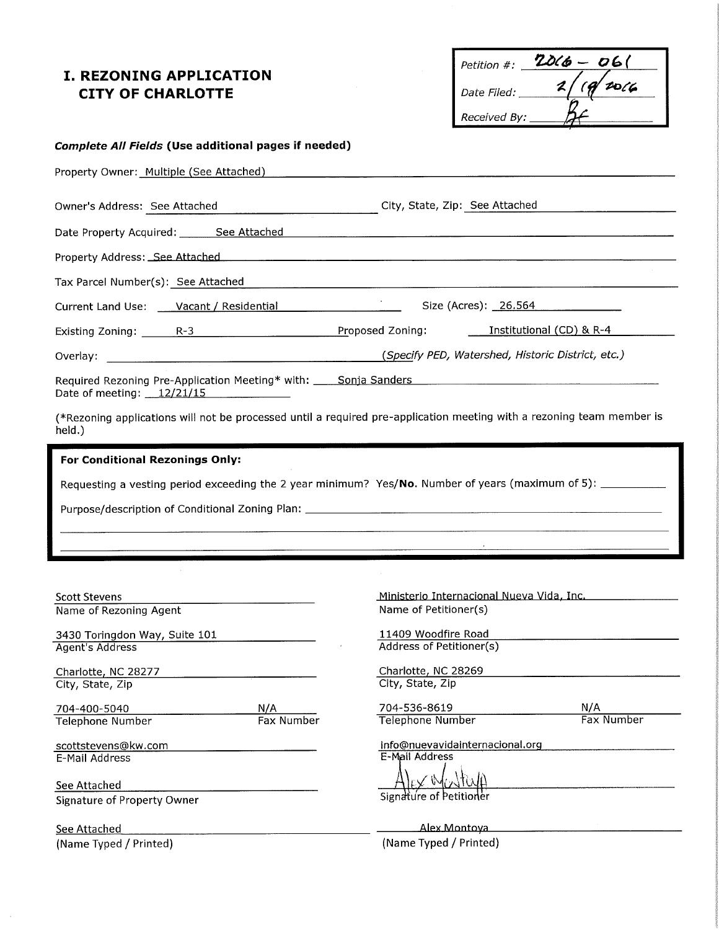#### **I. REZONING APPLICATION CITY OF CHARLOTTE**

| Petition #:        | $206 - 061$      |
|--------------------|------------------|
| <i>Date Filed:</i> | 20/6<br>$\alpha$ |
| Received By:       |                  |

Size (Acres): 26.564

#### **Complete All Fields (Use additional pages if needed)**

Property Owner: Multiple (See Attached) Management of the Contract of the Property Owner:

| Owner's Address: See Attached | City, State, Zip: See Attached |  |
|-------------------------------|--------------------------------|--|
|                               |                                |  |

Date Property Acquired: See Attached Manual Contract Property Acquired: 1988

Property Address: See Attached

Tax Parcel Number(s): See Attached

Current Land Use: Vacant / Residential

Existing Zoning: R-3 R-3 Proposed Zoning: Institutional (CD) & R-4

Required Rezoning Pre-Application Meeting\* with: Sonja Sanders Date of meeting: 12/21/15

(\*Rezoning applications will not be processed until a required pre-application meeting with a rezoning team member is held.)

| <b>For Conditional Rezonings Only:</b>                                                                        |
|---------------------------------------------------------------------------------------------------------------|
| Requesting a vesting period exceeding the 2 year minimum? Yes/No. Number of years (maximum of 5): ___________ |
| Purpose/description of Conditional Zoning Plan: ________________________________                              |
|                                                                                                               |

| <b>Scott Stevens</b>                               |            | Ministerio Internacional Nueva Vida, Inc.         |            |  |
|----------------------------------------------------|------------|---------------------------------------------------|------------|--|
| Name of Rezoning Agent                             |            | Name of Petitioner(s)                             |            |  |
| 3430 Toringdon Way, Suite 101                      |            | 11409 Woodfire Road                               |            |  |
| Agent's Address                                    |            | Address of Petitioner(s)                          |            |  |
| Charlotte, NC 28277                                |            | Charlotte, NC 28269                               |            |  |
| City, State, Zip                                   |            | City, State, Zip                                  |            |  |
| 704-400-5040                                       | N/A        | 704-536-8619                                      | N/A        |  |
| Telephone Number                                   | Fax Number | Telephone Number                                  | Fax Number |  |
| scottstevens@kw.com                                |            | info@nuevavidainternacional.org<br>E-Mail Address |            |  |
| E-Mail Address                                     |            |                                                   |            |  |
| See Attached<br><b>Signature of Property Owner</b> |            | Signature of Petitioner                           |            |  |
| See Attached                                       |            | Alex Montova                                      |            |  |
| (Name Typed / Printed)<br>(Name Typed / Printed)   |            |                                                   |            |  |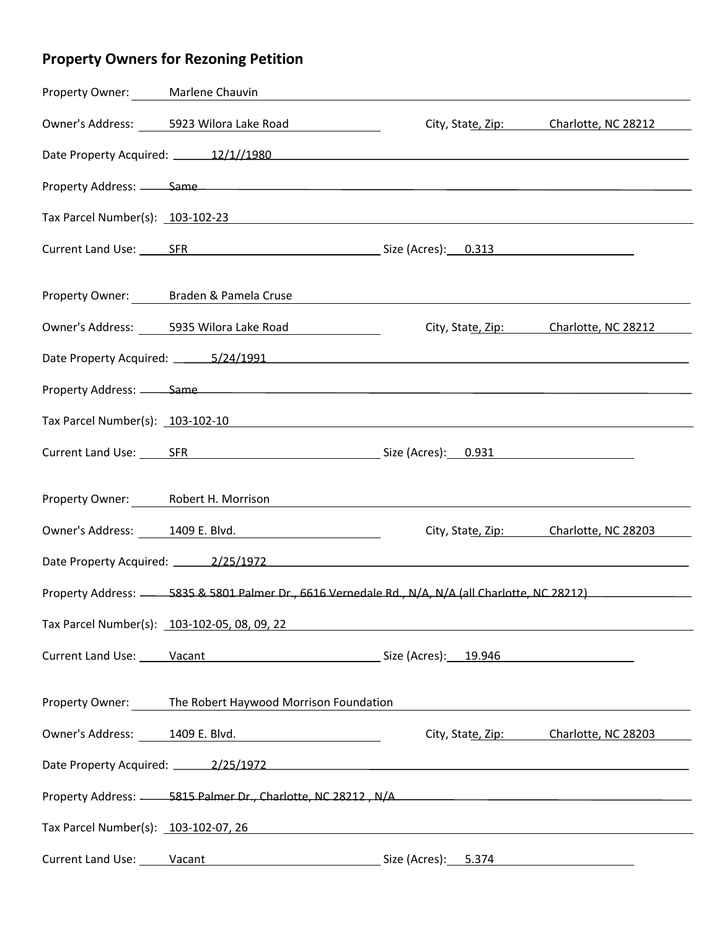# **Property Owners for Rezoning Petition**

| Property Owner: Marlene Chauvin    |                                                                                                                                                                                                                                |                                       |                                       |  |  |
|------------------------------------|--------------------------------------------------------------------------------------------------------------------------------------------------------------------------------------------------------------------------------|---------------------------------------|---------------------------------------|--|--|
|                                    | Owner's Address: 5923 Wilora Lake Road<br>City, State, Zip: Charlotte, NC 28212                                                                                                                                                |                                       |                                       |  |  |
|                                    | Date Property Acquired: 12/1//1980                                                                                                                                                                                             |                                       |                                       |  |  |
|                                    |                                                                                                                                                                                                                                |                                       |                                       |  |  |
|                                    |                                                                                                                                                                                                                                |                                       |                                       |  |  |
|                                    | Current Land Use: SFR SER SER SER SER SERIES Size (Acres): 0.313                                                                                                                                                               |                                       |                                       |  |  |
|                                    | Property Owner: Braden & Pamela Cruse                                                                                                                                                                                          |                                       |                                       |  |  |
|                                    | Owner's Address: 5935 Wilora Lake Road                                                                                                                                                                                         |                                       | City, State, Zip: Charlotte, NC 28212 |  |  |
|                                    |                                                                                                                                                                                                                                |                                       |                                       |  |  |
|                                    | Property Address: Same Same Contract Contract Contract Contract Contract Contract Contract Contract Contract Contract Contract Contract Contract Contract Contract Contract Contract Contract Contract Contract Contract Contr |                                       |                                       |  |  |
|                                    |                                                                                                                                                                                                                                |                                       |                                       |  |  |
|                                    | Current Land Use: SFR SER SER SER SER SERIES SIZE (Acres): 0.931                                                                                                                                                               |                                       |                                       |  |  |
| Property Owner: Robert H. Morrison |                                                                                                                                                                                                                                |                                       |                                       |  |  |
|                                    | Owner's Address: 1409 E. Blvd.                                                                                                                                                                                                 |                                       | City, State, Zip: Charlotte, NC 28203 |  |  |
|                                    | Date Property Acquired: 2/25/1972 http://www.assett.com/contract/com/contract/com/com/com/com/com/com/com/com/                                                                                                                 |                                       |                                       |  |  |
|                                    | Property Address: 3835 & 5801 Palmer Dr., 6616 Vernedale Rd., N/A, N/A (all Charlotte, NC 28212)                                                                                                                               |                                       |                                       |  |  |
|                                    |                                                                                                                                                                                                                                |                                       |                                       |  |  |
|                                    | Current Land Use: Vacant Vacant Current Constant Current Land Use: Vacant Vacant Current Land Use: Vacant Vaca                                                                                                                 |                                       |                                       |  |  |
|                                    | Property Owner: The Robert Haywood Morrison Foundation                                                                                                                                                                         |                                       |                                       |  |  |
|                                    | Owner's Address: 1409 E. Blvd.                                                                                                                                                                                                 | City, State, Zip: Charlotte, NC 28203 |                                       |  |  |
|                                    | Date Property Acquired: 2/25/1972 2010 12:00:00 12:00:00 12:00:00 12:00:00 12:00:00 12:00:00 12:00:00 12:00:00                                                                                                                 |                                       |                                       |  |  |
|                                    |                                                                                                                                                                                                                                |                                       |                                       |  |  |
|                                    | Tax Parcel Number(s): 103-102-07, 26                                                                                                                                                                                           |                                       |                                       |  |  |
|                                    | Current Land Use: Vacant Vacant Current Control (Acres): 5.374                                                                                                                                                                 |                                       |                                       |  |  |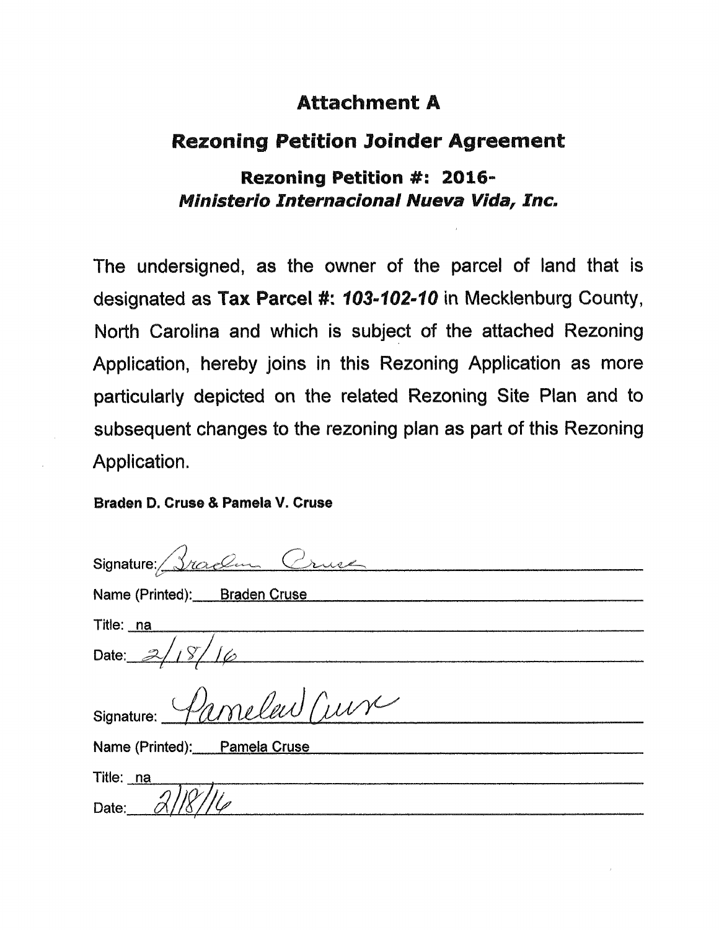### **Rezoning Petition Joinder Agreement**

### Rezoning Petition #: 2016-Ministerio Internacional Nueva Vida, Inc.

The undersigned, as the owner of the parcel of land that is designated as Tax Parcel #: 103-102-10 in Mecklenburg County, North Carolina and which is subject of the attached Rezoning Application, hereby joins in this Rezoning Application as more particularly depicted on the related Rezoning Site Plan and to subsequent changes to the rezoning plan as part of this Rezoning Application.

#### Braden D. Cruse & Pamela V. Cruse

| Signature: Sraden Cruse               |
|---------------------------------------|
| Name (Printed): Braden Cruse          |
| Title: <u>na</u>                      |
| Date: $2/18/16$                       |
| Signature: Pamelew Curr               |
| Name (Printed): Pamela Cruse          |
| Title: <u>na</u><br>Date: $\alpha$ // |
|                                       |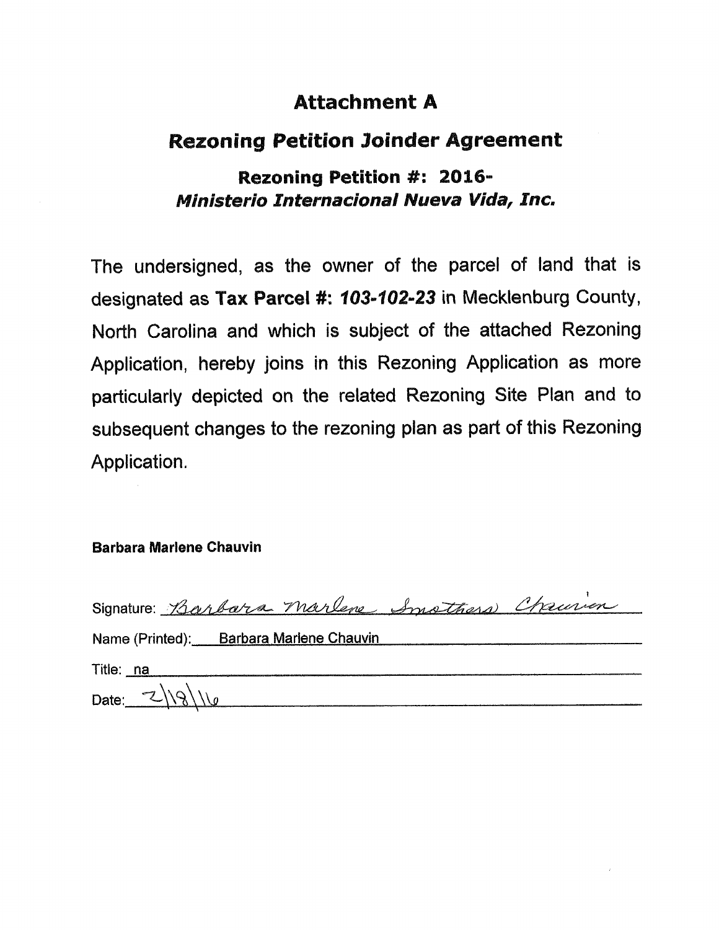#### **Rezoning Petition Joinder Agreement**

### Rezoning Petition #: 2016-Ministerio Internacional Nueva Vida, Inc.

The undersigned, as the owner of the parcel of land that is designated as Tax Parcel #: 103-102-23 in Mecklenburg County, North Carolina and which is subject of the attached Rezoning Application, hereby joins in this Rezoning Application as more particularly depicted on the related Rezoning Site Plan and to subsequent changes to the rezoning plan as part of this Rezoning Application.

#### **Barbara Marlene Chauvin**

| Signature: Barbara Marlene Insthera Chrusien |
|----------------------------------------------|
| Name (Printed): Barbara Marlene Chauvin      |
| Title: na                                    |
| Date: $2 18 16$                              |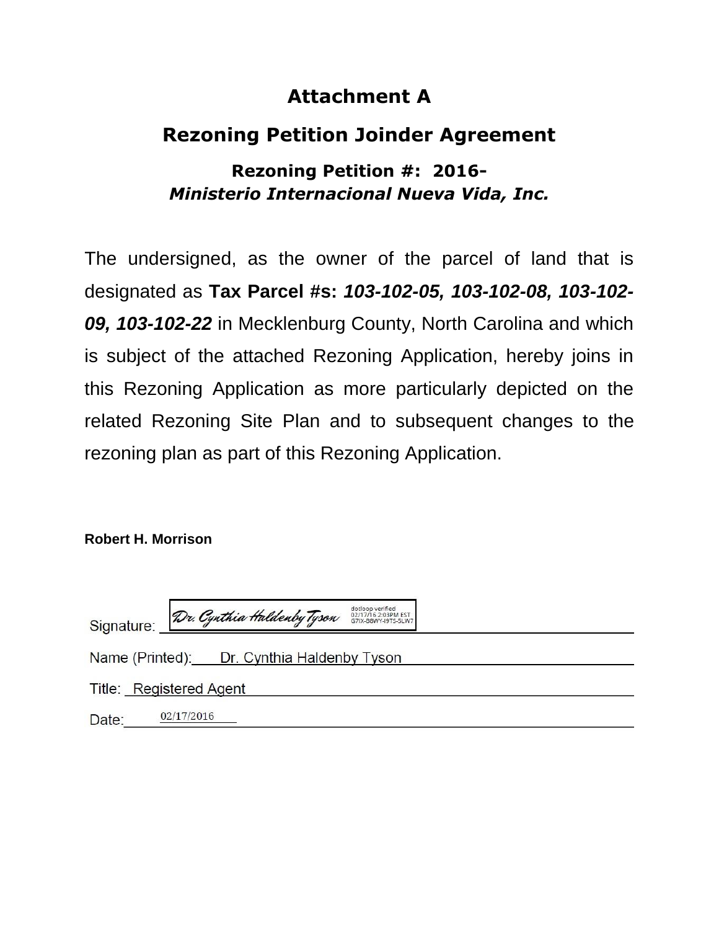# **Rezoning Petition Joinder Agreement**

### **Rezoning Petition #: 2016-** *Ministerio Internacional Nueva Vida, Inc.*

The undersigned, as the owner of the parcel of land that is designated as **Tax Parcel #s:** *103-102-05, 103-102-08, 103-102- 09, 103-102-22* in Mecklenburg County, North Carolina and which is subject of the attached Rezoning Application, hereby joins in this Rezoning Application as more particularly depicted on the related Rezoning Site Plan and to subsequent changes to the rezoning plan as part of this Rezoning Application.

**Robert H. Morrison**

|       |                         |                                            | dotloop verified                           |
|-------|-------------------------|--------------------------------------------|--------------------------------------------|
|       |                         | Signature: Dr. Cynthia Haldenby Tyson      | 02/17/16 2:03PM EST<br>G7IX-B8WY-I9TS-5LW7 |
|       |                         | Name (Printed): Dr. Cynthia Haldenby Tyson |                                            |
|       | Title: Registered Agent |                                            |                                            |
| Date: | 02/17/2016              |                                            |                                            |